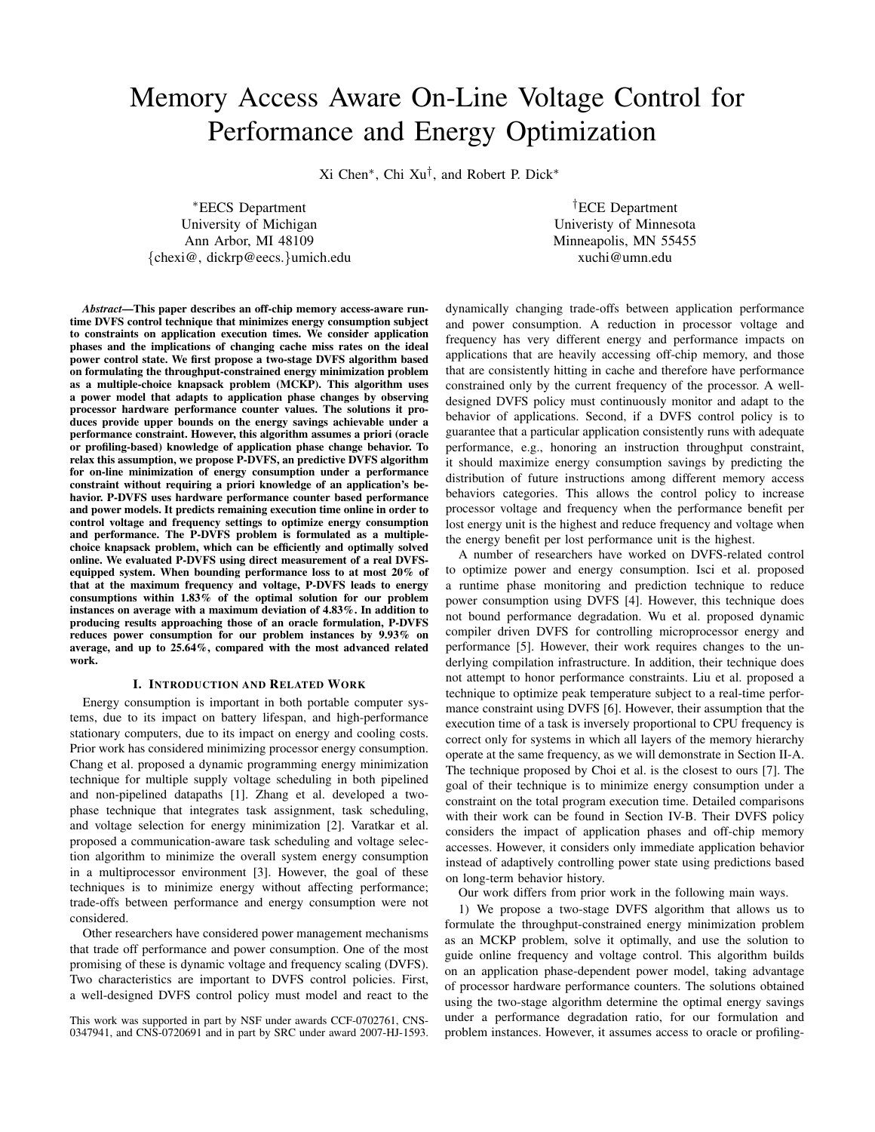# Memory Access Aware On-Line Voltage Control for Performance and Energy Optimization

Xi Chen<sup>∗</sup> , Chi Xu† , and Robert P. Dick<sup>∗</sup>

<sup>∗</sup>EECS Department University of Michigan Ann Arbor, MI 48109 {chexi@, dickrp@eecs.}umich.edu

†ECE Department Univeristy of Minnesota Minneapolis, MN 55455 xuchi@umn.edu

*Abstract*—This paper describes an off-chip memory access-aware runtime DVFS control technique that minimizes energy consumption subject to constraints on application execution times. We consider application phases and the implications of changing cache miss rates on the ideal power control state. We first propose a two-stage DVFS algorithm based on formulating the throughput-constrained energy minimization problem as a multiple-choice knapsack problem (MCKP). This algorithm uses a power model that adapts to application phase changes by observing processor hardware performance counter values. The solutions it produces provide upper bounds on the energy savings achievable under a performance constraint. However, this algorithm assumes a priori (oracle or profiling-based) knowledge of application phase change behavior. To relax this assumption, we propose P-DVFS, an predictive DVFS algorithm for on-line minimization of energy consumption under a performance constraint without requiring a priori knowledge of an application's behavior. P-DVFS uses hardware performance counter based performance and power models. It predicts remaining execution time online in order to control voltage and frequency settings to optimize energy consumption and performance. The P-DVFS problem is formulated as a multiplechoice knapsack problem, which can be efficiently and optimally solved online. We evaluated P-DVFS using direct measurement of a real DVFSequipped system. When bounding performance loss to at most 20% of that at the maximum frequency and voltage, P-DVFS leads to energy consumptions within 1.83% of the optimal solution for our problem instances on average with a maximum deviation of 4.83%. In addition to producing results approaching those of an oracle formulation, P-DVFS reduces power consumption for our problem instances by 9.93% on average, and up to 25.64%, compared with the most advanced related work.

# I. INTRODUCTION AND RELATED WORK

Energy consumption is important in both portable computer systems, due to its impact on battery lifespan, and high-performance stationary computers, due to its impact on energy and cooling costs. Prior work has considered minimizing processor energy consumption. Chang et al. proposed a dynamic programming energy minimization technique for multiple supply voltage scheduling in both pipelined and non-pipelined datapaths [1]. Zhang et al. developed a twophase technique that integrates task assignment, task scheduling, and voltage selection for energy minimization [2]. Varatkar et al. proposed a communication-aware task scheduling and voltage selection algorithm to minimize the overall system energy consumption in a multiprocessor environment [3]. However, the goal of these techniques is to minimize energy without affecting performance; trade-offs between performance and energy consumption were not considered.

Other researchers have considered power management mechanisms that trade off performance and power consumption. One of the most promising of these is dynamic voltage and frequency scaling (DVFS). Two characteristics are important to DVFS control policies. First, a well-designed DVFS control policy must model and react to the

This work was supported in part by NSF under awards CCF-0702761, CNS-0347941, and CNS-0720691 and in part by SRC under award 2007-HJ-1593. dynamically changing trade-offs between application performance and power consumption. A reduction in processor voltage and frequency has very different energy and performance impacts on applications that are heavily accessing off-chip memory, and those that are consistently hitting in cache and therefore have performance constrained only by the current frequency of the processor. A welldesigned DVFS policy must continuously monitor and adapt to the behavior of applications. Second, if a DVFS control policy is to guarantee that a particular application consistently runs with adequate performance, e.g., honoring an instruction throughput constraint, it should maximize energy consumption savings by predicting the distribution of future instructions among different memory access behaviors categories. This allows the control policy to increase processor voltage and frequency when the performance benefit per lost energy unit is the highest and reduce frequency and voltage when the energy benefit per lost performance unit is the highest.

A number of researchers have worked on DVFS-related control to optimize power and energy consumption. Isci et al. proposed a runtime phase monitoring and prediction technique to reduce power consumption using DVFS [4]. However, this technique does not bound performance degradation. Wu et al. proposed dynamic compiler driven DVFS for controlling microprocessor energy and performance [5]. However, their work requires changes to the underlying compilation infrastructure. In addition, their technique does not attempt to honor performance constraints. Liu et al. proposed a technique to optimize peak temperature subject to a real-time performance constraint using DVFS [6]. However, their assumption that the execution time of a task is inversely proportional to CPU frequency is correct only for systems in which all layers of the memory hierarchy operate at the same frequency, as we will demonstrate in Section II-A. The technique proposed by Choi et al. is the closest to ours [7]. The goal of their technique is to minimize energy consumption under a constraint on the total program execution time. Detailed comparisons with their work can be found in Section IV-B. Their DVFS policy considers the impact of application phases and off-chip memory accesses. However, it considers only immediate application behavior instead of adaptively controlling power state using predictions based on long-term behavior history.

Our work differs from prior work in the following main ways.

1) We propose a two-stage DVFS algorithm that allows us to formulate the throughput-constrained energy minimization problem as an MCKP problem, solve it optimally, and use the solution to guide online frequency and voltage control. This algorithm builds on an application phase-dependent power model, taking advantage of processor hardware performance counters. The solutions obtained using the two-stage algorithm determine the optimal energy savings under a performance degradation ratio, for our formulation and problem instances. However, it assumes access to oracle or profiling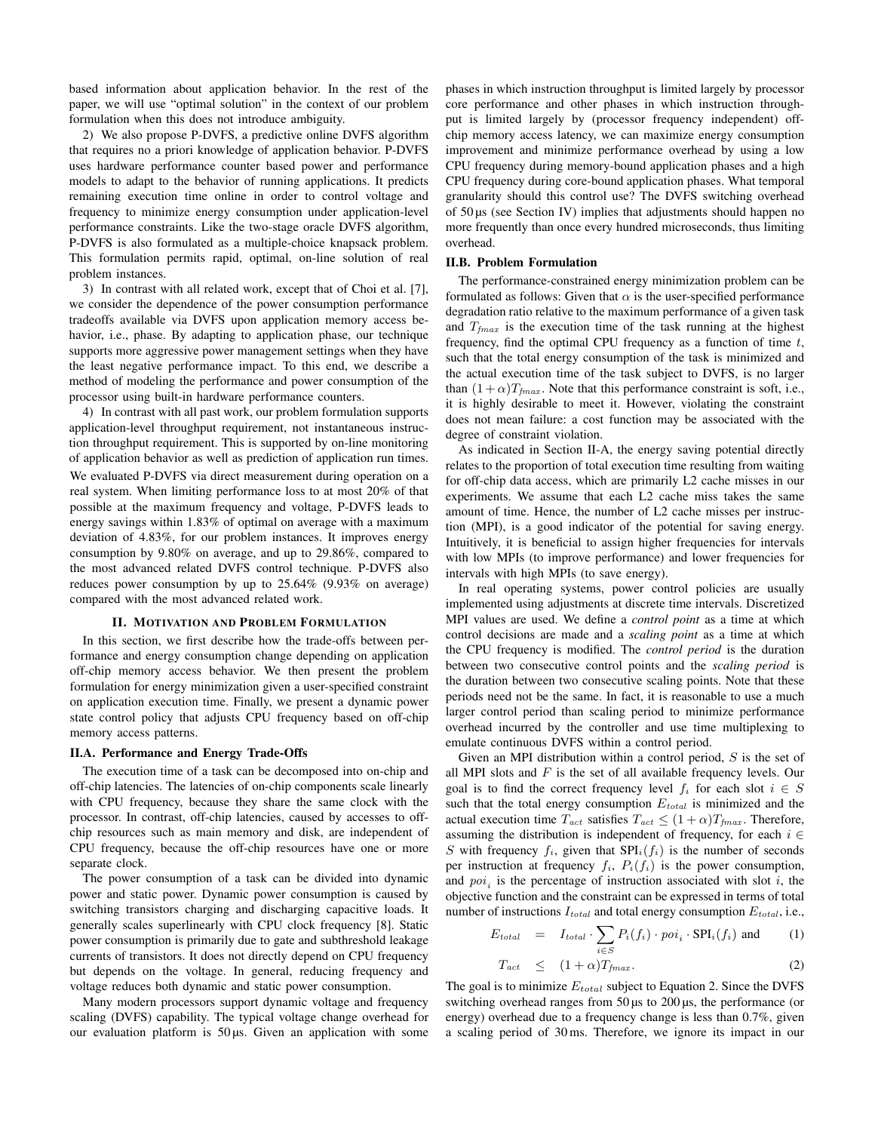based information about application behavior. In the rest of the paper, we will use "optimal solution" in the context of our problem formulation when this does not introduce ambiguity.

2) We also propose P-DVFS, a predictive online DVFS algorithm that requires no a priori knowledge of application behavior. P-DVFS uses hardware performance counter based power and performance models to adapt to the behavior of running applications. It predicts remaining execution time online in order to control voltage and frequency to minimize energy consumption under application-level performance constraints. Like the two-stage oracle DVFS algorithm, P-DVFS is also formulated as a multiple-choice knapsack problem. This formulation permits rapid, optimal, on-line solution of real problem instances.

3) In contrast with all related work, except that of Choi et al. [7], we consider the dependence of the power consumption performance tradeoffs available via DVFS upon application memory access behavior, i.e., phase. By adapting to application phase, our technique supports more aggressive power management settings when they have the least negative performance impact. To this end, we describe a method of modeling the performance and power consumption of the processor using built-in hardware performance counters.

4) In contrast with all past work, our problem formulation supports application-level throughput requirement, not instantaneous instruction throughput requirement. This is supported by on-line monitoring of application behavior as well as prediction of application run times. We evaluated P-DVFS via direct measurement during operation on a real system. When limiting performance loss to at most 20% of that possible at the maximum frequency and voltage, P-DVFS leads to energy savings within 1.83% of optimal on average with a maximum deviation of 4.83%, for our problem instances. It improves energy consumption by 9.80% on average, and up to 29.86%, compared to the most advanced related DVFS control technique. P-DVFS also reduces power consumption by up to 25.64% (9.93% on average) compared with the most advanced related work.

## II. MOTIVATION AND PROBLEM FORMULATION

In this section, we first describe how the trade-offs between performance and energy consumption change depending on application off-chip memory access behavior. We then present the problem formulation for energy minimization given a user-specified constraint on application execution time. Finally, we present a dynamic power state control policy that adjusts CPU frequency based on off-chip memory access patterns.

#### II.A. Performance and Energy Trade-Offs

The execution time of a task can be decomposed into on-chip and off-chip latencies. The latencies of on-chip components scale linearly with CPU frequency, because they share the same clock with the processor. In contrast, off-chip latencies, caused by accesses to offchip resources such as main memory and disk, are independent of CPU frequency, because the off-chip resources have one or more separate clock.

The power consumption of a task can be divided into dynamic power and static power. Dynamic power consumption is caused by switching transistors charging and discharging capacitive loads. It generally scales superlinearly with CPU clock frequency [8]. Static power consumption is primarily due to gate and subthreshold leakage currents of transistors. It does not directly depend on CPU frequency but depends on the voltage. In general, reducing frequency and voltage reduces both dynamic and static power consumption.

Many modern processors support dynamic voltage and frequency scaling (DVFS) capability. The typical voltage change overhead for our evaluation platform is  $50 \mu s$ . Given an application with some phases in which instruction throughput is limited largely by processor core performance and other phases in which instruction throughput is limited largely by (processor frequency independent) offchip memory access latency, we can maximize energy consumption improvement and minimize performance overhead by using a low CPU frequency during memory-bound application phases and a high CPU frequency during core-bound application phases. What temporal granularity should this control use? The DVFS switching overhead of 50 µs (see Section IV) implies that adjustments should happen no more frequently than once every hundred microseconds, thus limiting overhead.

#### II.B. Problem Formulation

The performance-constrained energy minimization problem can be formulated as follows: Given that  $\alpha$  is the user-specified performance degradation ratio relative to the maximum performance of a given task and  $T_{\text{fmax}}$  is the execution time of the task running at the highest frequency, find the optimal CPU frequency as a function of time  $t$ , such that the total energy consumption of the task is minimized and the actual execution time of the task subject to DVFS, is no larger than  $(1 + \alpha)T_{fmax}$ . Note that this performance constraint is soft, i.e., it is highly desirable to meet it. However, violating the constraint does not mean failure: a cost function may be associated with the degree of constraint violation.

As indicated in Section II-A, the energy saving potential directly relates to the proportion of total execution time resulting from waiting for off-chip data access, which are primarily L2 cache misses in our experiments. We assume that each L2 cache miss takes the same amount of time. Hence, the number of L2 cache misses per instruction (MPI), is a good indicator of the potential for saving energy. Intuitively, it is beneficial to assign higher frequencies for intervals with low MPIs (to improve performance) and lower frequencies for intervals with high MPIs (to save energy).

In real operating systems, power control policies are usually implemented using adjustments at discrete time intervals. Discretized MPI values are used. We define a *control point* as a time at which control decisions are made and a *scaling point* as a time at which the CPU frequency is modified. The *control period* is the duration between two consecutive control points and the *scaling period* is the duration between two consecutive scaling points. Note that these periods need not be the same. In fact, it is reasonable to use a much larger control period than scaling period to minimize performance overhead incurred by the controller and use time multiplexing to emulate continuous DVFS within a control period.

Given an MPI distribution within a control period,  $S$  is the set of all MPI slots and  $F$  is the set of all available frequency levels. Our goal is to find the correct frequency level  $f_i$  for each slot  $i \in S$ such that the total energy consumption  $E_{total}$  is minimized and the actual execution time  $T_{act}$  satisfies  $T_{act} \leq (1+\alpha)T_{fmax}$ . Therefore, assuming the distribution is independent of frequency, for each  $i \in$ S with frequency  $f_i$ , given that  $SPI_i(f_i)$  is the number of seconds per instruction at frequency  $f_i$ ,  $P_i(f_i)$  is the power consumption, and  $poi<sub>i</sub>$  is the percentage of instruction associated with slot i, the objective function and the constraint can be expressed in terms of total number of instructions  $I_{total}$  and total energy consumption  $E_{total}$ , i.e.,

$$
E_{total} = I_{total} \cdot \sum_{i \in S} P_i(f_i) \cdot \text{poi}_i \cdot \text{SPI}_i(f_i) \text{ and } (1)
$$

$$
T_{act} \leq (1+\alpha)T_{fmax}.
$$
 (2)

The goal is to minimize  $E_{total}$  subject to Equation 2. Since the DVFS switching overhead ranges from 50 µs to 200 µs, the performance (or energy) overhead due to a frequency change is less than 0.7%, given a scaling period of 30 ms. Therefore, we ignore its impact in our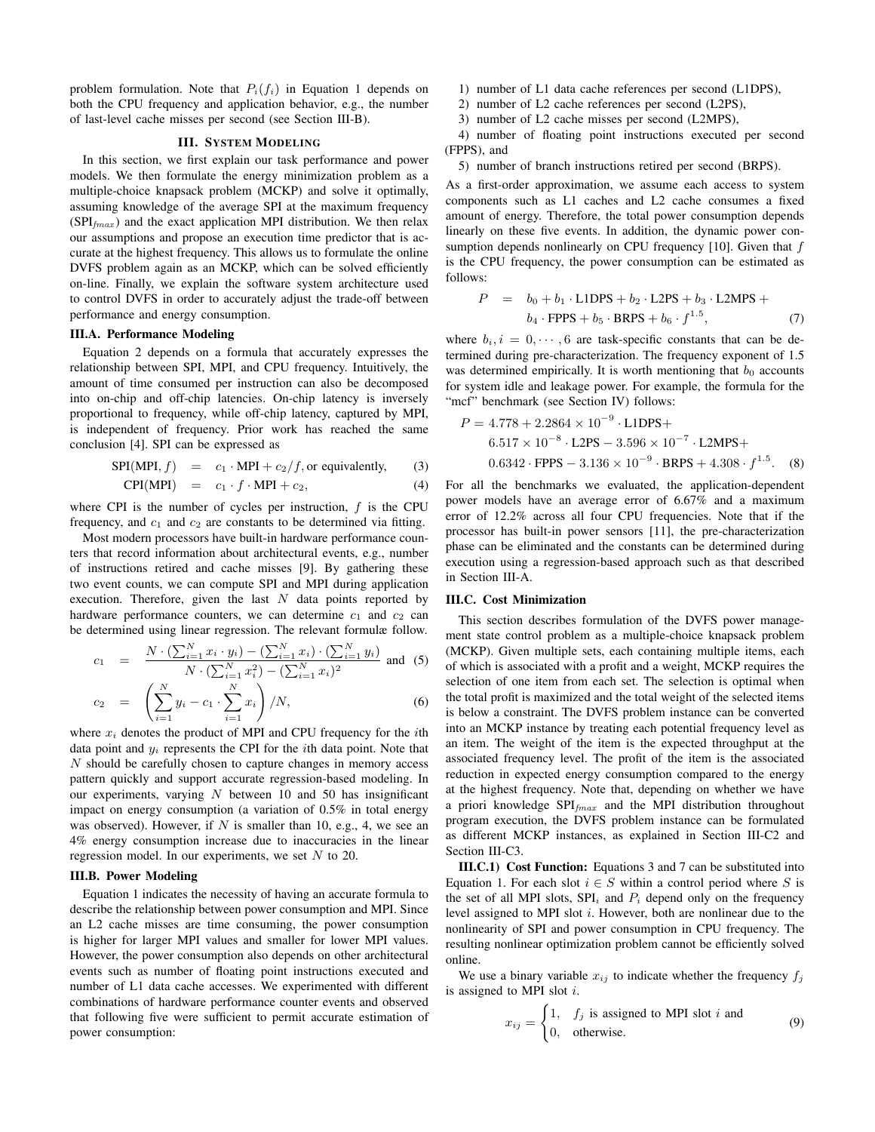problem formulation. Note that  $P_i(f_i)$  in Equation 1 depends on both the CPU frequency and application behavior, e.g., the number of last-level cache misses per second (see Section III-B).

## III. SYSTEM MODELING

In this section, we first explain our task performance and power models. We then formulate the energy minimization problem as a multiple-choice knapsack problem (MCKP) and solve it optimally, assuming knowledge of the average SPI at the maximum frequency  $(SPI<sub>max</sub>)$  and the exact application MPI distribution. We then relax our assumptions and propose an execution time predictor that is accurate at the highest frequency. This allows us to formulate the online DVFS problem again as an MCKP, which can be solved efficiently on-line. Finally, we explain the software system architecture used to control DVFS in order to accurately adjust the trade-off between performance and energy consumption.

# III.A. Performance Modeling

Equation 2 depends on a formula that accurately expresses the relationship between SPI, MPI, and CPU frequency. Intuitively, the amount of time consumed per instruction can also be decomposed into on-chip and off-chip latencies. On-chip latency is inversely proportional to frequency, while off-chip latency, captured by MPI, is independent of frequency. Prior work has reached the same conclusion [4]. SPI can be expressed as

$$
SPI(MPI, f) = c_1 \cdot MPI + c_2/f, or equivalently,
$$
 (3)

$$
CPI(MPI) = c_1 \cdot f \cdot MPI + c_2, \qquad (4)
$$

where CPI is the number of cycles per instruction,  $f$  is the CPU frequency, and  $c_1$  and  $c_2$  are constants to be determined via fitting.

Most modern processors have built-in hardware performance counters that record information about architectural events, e.g., number of instructions retired and cache misses [9]. By gathering these two event counts, we can compute SPI and MPI during application execution. Therefore, given the last  $N$  data points reported by hardware performance counters, we can determine  $c_1$  and  $c_2$  can be determined using linear regression. The relevant formulæ follow.

$$
c_1 = \frac{N \cdot (\sum_{i=1}^{N} x_i \cdot y_i) - (\sum_{i=1}^{N} x_i) \cdot (\sum_{i=1}^{N} y_i)}{N \cdot (\sum_{i=1}^{N} x_i^2) - (\sum_{i=1}^{N} x_i)^2}
$$
 and (5)

$$
c_2 = \left(\sum_{i=1}^{N} y_i - c_1 \cdot \sum_{i=1}^{N} x_i\right) / N, \tag{6}
$$

where  $x_i$  denotes the product of MPI and CPU frequency for the *i*th data point and  $y_i$  represents the CPI for the *i*th data point. Note that  $N$  should be carefully chosen to capture changes in memory access pattern quickly and support accurate regression-based modeling. In our experiments, varying  $N$  between 10 and 50 has insignificant impact on energy consumption (a variation of 0.5% in total energy was observed). However, if  $N$  is smaller than 10, e.g., 4, we see an 4% energy consumption increase due to inaccuracies in the linear regression model. In our experiments, we set N to 20.

# III.B. Power Modeling

Equation 1 indicates the necessity of having an accurate formula to describe the relationship between power consumption and MPI. Since an L2 cache misses are time consuming, the power consumption is higher for larger MPI values and smaller for lower MPI values. However, the power consumption also depends on other architectural events such as number of floating point instructions executed and number of L1 data cache accesses. We experimented with different combinations of hardware performance counter events and observed that following five were sufficient to permit accurate estimation of power consumption:

- 1) number of L1 data cache references per second (L1DPS),
- 2) number of L2 cache references per second (L2PS),
- 3) number of L2 cache misses per second (L2MPS),

4) number of floating point instructions executed per second (FPPS), and

5) number of branch instructions retired per second (BRPS).

As a first-order approximation, we assume each access to system components such as L1 caches and L2 cache consumes a fixed amount of energy. Therefore, the total power consumption depends linearly on these five events. In addition, the dynamic power consumption depends nonlinearly on CPU frequency [10]. Given that  $f$ is the CPU frequency, the power consumption can be estimated as follows:

$$
P = b_0 + b_1 \cdot \text{L1DPS} + b_2 \cdot \text{L2PS} + b_3 \cdot \text{L2MPS} + b_4 \cdot \text{FPPS} + b_5 \cdot \text{BRPS} + b_6 \cdot f^{1.5}, \tag{7}
$$

where  $b_i, i = 0, \dots, 6$  are task-specific constants that can be determined during pre-characterization. The frequency exponent of 1.5 was determined empirically. It is worth mentioning that  $b_0$  accounts for system idle and leakage power. For example, the formula for the "mcf" benchmark (see Section IV) follows:

$$
P = 4.778 + 2.2864 \times 10^{-9} \cdot \text{L1DPS} + 6.517 \times 10^{-8} \cdot \text{L2PS} - 3.596 \times 10^{-7} \cdot \text{L2MPS} + 0.6342 \cdot \text{FPPS} - 3.136 \times 10^{-9} \cdot \text{BRPS} + 4.308 \cdot f^{1.5}.
$$
 (8)

For all the benchmarks we evaluated, the application-dependent power models have an average error of 6.67% and a maximum error of 12.2% across all four CPU frequencies. Note that if the processor has built-in power sensors [11], the pre-characterization phase can be eliminated and the constants can be determined during execution using a regression-based approach such as that described in Section III-A.

#### III.C. Cost Minimization

This section describes formulation of the DVFS power management state control problem as a multiple-choice knapsack problem (MCKP). Given multiple sets, each containing multiple items, each of which is associated with a profit and a weight, MCKP requires the selection of one item from each set. The selection is optimal when the total profit is maximized and the total weight of the selected items is below a constraint. The DVFS problem instance can be converted into an MCKP instance by treating each potential frequency level as an item. The weight of the item is the expected throughput at the associated frequency level. The profit of the item is the associated reduction in expected energy consumption compared to the energy at the highest frequency. Note that, depending on whether we have a priori knowledge  $SPI_{fmax}$  and the MPI distribution throughout program execution, the DVFS problem instance can be formulated as different MCKP instances, as explained in Section III-C2 and Section III-C3.

III.C.1) Cost Function: Equations 3 and 7 can be substituted into Equation 1. For each slot  $i \in S$  within a control period where S is the set of all MPI slots,  $SPI_i$  and  $P_i$  depend only on the frequency level assigned to MPI slot  $i$ . However, both are nonlinear due to the nonlinearity of SPI and power consumption in CPU frequency. The resulting nonlinear optimization problem cannot be efficiently solved online.

We use a binary variable  $x_{ij}$  to indicate whether the frequency  $f_j$ is assigned to MPI slot i.

$$
x_{ij} = \begin{cases} 1, & f_j \text{ is assigned to MPI slot } i \text{ and} \\ 0, & \text{otherwise.} \end{cases} \tag{9}
$$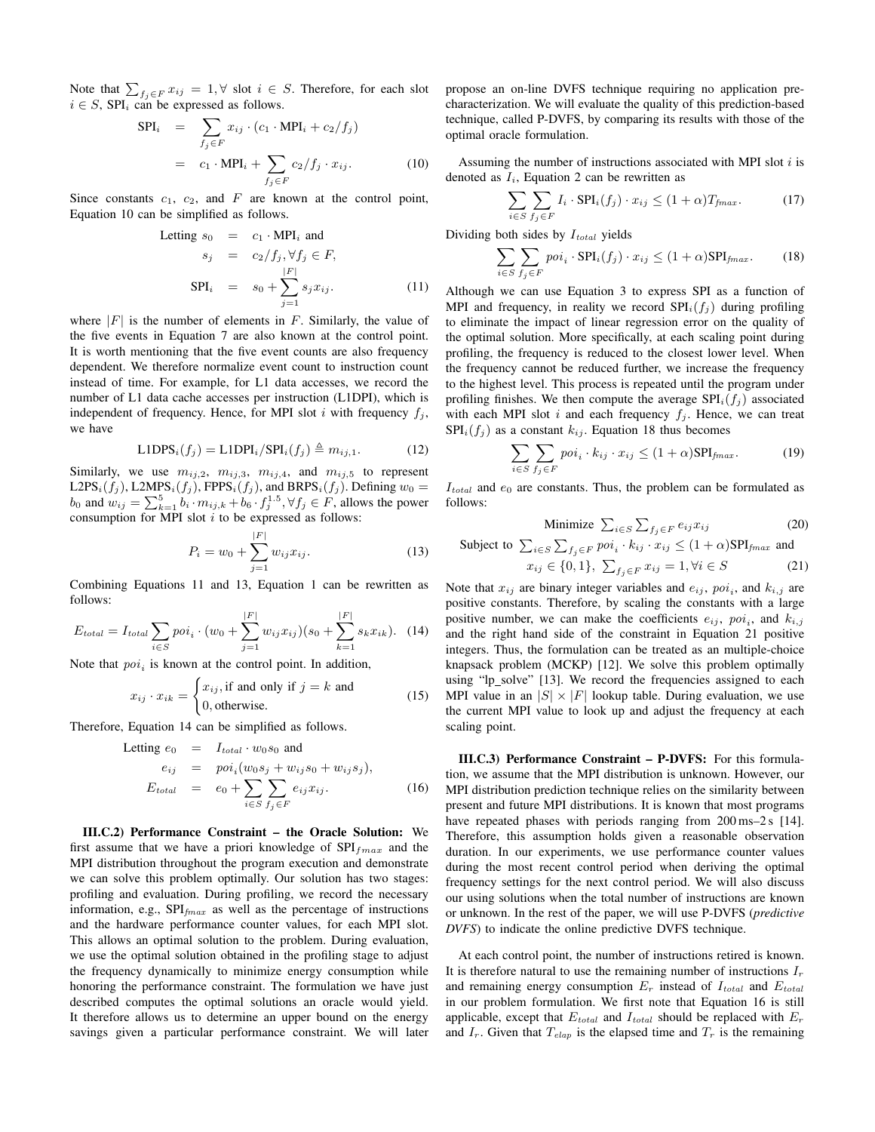Note that  $\sum_{f_j \in F} x_{ij} = 1, \forall$  slot  $i \in S$ . Therefore, for each slot  $i \in S$ , SPI<sub>i</sub> can be expressed as follows.

$$
SPI_i = \sum_{f_j \in F} x_{ij} \cdot (c_1 \cdot \text{MPI}_i + c_2/f_j)
$$
  
=  $c_1 \cdot \text{MPI}_i + \sum_{f_j \in F} c_2/f_j \cdot x_{ij}.$  (10)

Since constants  $c_1$ ,  $c_2$ , and F are known at the control point, Equation 10 can be simplified as follows.

Letting 
$$
s_0 = c_1 \cdot \text{MPI}_i
$$
 and  
\n
$$
s_j = c_2 / f_j, \forall f_j \in F,
$$
\n
$$
\text{SPI}_i = s_0 + \sum_{j=1}^{|F|} s_j x_{ij}.
$$
\n(11)

where  $|F|$  is the number of elements in F. Similarly, the value of the five events in Equation 7 are also known at the control point. It is worth mentioning that the five event counts are also frequency dependent. We therefore normalize event count to instruction count instead of time. For example, for L1 data accesses, we record the number of L1 data cache accesses per instruction (L1DPI), which is independent of frequency. Hence, for MPI slot i with frequency  $f_i$ , we have

$$
L1DPSi(fj) = L1DPIi/SPIi(fj) \triangleq mij,1.
$$
 (12)

Similarly, we use  $m_{ij,2}$ ,  $m_{ij,3}$ ,  $m_{ij,4}$ , and  $m_{ij,5}$  to represent L2PS<sub>i</sub>(f<sub>j</sub>), L2MPS<sub>i</sub>(f<sub>j</sub>), FPPS<sub>i</sub>(f<sub>j</sub>), and BRPS<sub>i</sub>(f<sub>j</sub>). Defining  $w_0 =$  $b_0$  and  $w_{ij} = \sum_{k=1}^{5} b_i \cdot m_{ij,k} + b_6 \cdot f_j^{1.5}, \forall f_j \in F$ , allows the power consumption for MPI slot  $i$  to be expressed as follows:

$$
P_i = w_0 + \sum_{j=1}^{|F|} w_{ij} x_{ij}.
$$
 (13)

Combining Equations 11 and 13, Equation 1 can be rewritten as follows:

$$
E_{total} = I_{total} \sum_{i \in S} \text{poi}_i \cdot (w_0 + \sum_{j=1}^{|F|} w_{ij} x_{ij}) (s_0 + \sum_{k=1}^{|F|} s_k x_{ik}). \tag{14}
$$

Note that  $\text{poi}_i$  is known at the control point. In addition,

$$
x_{ij} \cdot x_{ik} = \begin{cases} x_{ij}, \text{if and only if } j = k \text{ and} \\ 0, \text{otherwise.} \end{cases}
$$
 (15)

Therefore, Equation 14 can be simplified as follows.

Letting 
$$
e_0 = I_{total} \cdot w_0 s_0
$$
 and  
\n
$$
e_{ij} = p o i_i (w_0 s_j + w_{ij} s_0 + w_{ij} s_j),
$$
\n
$$
E_{total} = e_0 + \sum_{i \in S} \sum_{f_j \in F} e_{ij} x_{ij}.
$$
\n(16)

III.C.2) Performance Constraint – the Oracle Solution: We first assume that we have a priori knowledge of  $SPI_{fmax}$  and the MPI distribution throughout the program execution and demonstrate we can solve this problem optimally. Our solution has two stages: profiling and evaluation. During profiling, we record the necessary information, e.g.,  $SPI_{fmax}$  as well as the percentage of instructions and the hardware performance counter values, for each MPI slot. This allows an optimal solution to the problem. During evaluation, we use the optimal solution obtained in the profiling stage to adjust the frequency dynamically to minimize energy consumption while honoring the performance constraint. The formulation we have just described computes the optimal solutions an oracle would yield. It therefore allows us to determine an upper bound on the energy savings given a particular performance constraint. We will later propose an on-line DVFS technique requiring no application precharacterization. We will evaluate the quality of this prediction-based technique, called P-DVFS, by comparing its results with those of the optimal oracle formulation.

Assuming the number of instructions associated with MPI slot  $i$  is denoted as  $I_i$ , Equation 2 can be rewritten as

$$
\sum_{i \in S} \sum_{f_j \in F} I_i \cdot \text{SPI}_i(f_j) \cdot x_{ij} \le (1+\alpha) T_{fmax}.
$$
 (17)

Dividing both sides by  $I_{total}$  yields

$$
\sum_{i \in S} \sum_{f_j \in F} \text{poi}_i \cdot \text{SPI}_i(f_j) \cdot x_{ij} \le (1+\alpha) \text{SPI}_{\text{fmax}}.
$$
 (18)

Although we can use Equation 3 to express SPI as a function of MPI and frequency, in reality we record  $SPI_i(f_i)$  during profiling to eliminate the impact of linear regression error on the quality of the optimal solution. More specifically, at each scaling point during profiling, the frequency is reduced to the closest lower level. When the frequency cannot be reduced further, we increase the frequency to the highest level. This process is repeated until the program under profiling finishes. We then compute the average  $SPI_i(f_i)$  associated with each MPI slot i and each frequency  $f_j$ . Hence, we can treat  $SPI_i(f_i)$  as a constant  $k_{ij}$ . Equation 18 thus becomes

$$
\sum_{i \in S} \sum_{f_j \in F} \text{poi}_i \cdot k_{ij} \cdot x_{ij} \le (1 + \alpha) \text{SPI}_{f\text{max}}.
$$
 (19)

 $I_{total}$  and  $e_0$  are constants. Thus, the problem can be formulated as follows:

$$
\text{Minimize } \sum_{i \in S} \sum_{f_j \in F} e_{ij} x_{ij} \tag{20}
$$

Subject to 
$$
\sum_{i \in S} \sum_{f_j \in F} \text{poi}_i \cdot k_{ij} \cdot x_{ij} \le (1+\alpha) \text{SPI}_{\text{fmax}}
$$
 and 
$$
x_{ij} \in \{0, 1\}, \ \sum_{f_j \in F} x_{ij} = 1, \forall i \in S
$$
 (21)

Note that  $x_{ij}$  are binary integer variables and  $e_{ij}$ ,  $poi_i$ , and  $k_{i,j}$  are positive constants. Therefore, by scaling the constants with a large positive number, we can make the coefficients  $e_{ij}$ ,  $poi_i$ , and  $k_{i,j}$ and the right hand side of the constraint in Equation 21 positive integers. Thus, the formulation can be treated as an multiple-choice knapsack problem (MCKP) [12]. We solve this problem optimally using "lp\_solve" [13]. We record the frequencies assigned to each MPI value in an  $|S| \times |F|$  lookup table. During evaluation, we use the current MPI value to look up and adjust the frequency at each scaling point.

III.C.3) Performance Constraint – P-DVFS: For this formulation, we assume that the MPI distribution is unknown. However, our MPI distribution prediction technique relies on the similarity between present and future MPI distributions. It is known that most programs have repeated phases with periods ranging from 200 ms–2 s [14]. Therefore, this assumption holds given a reasonable observation duration. In our experiments, we use performance counter values during the most recent control period when deriving the optimal frequency settings for the next control period. We will also discuss our using solutions when the total number of instructions are known or unknown. In the rest of the paper, we will use P-DVFS (*predictive DVFS*) to indicate the online predictive DVFS technique.

At each control point, the number of instructions retired is known. It is therefore natural to use the remaining number of instructions  $I_r$ and remaining energy consumption  $E_r$  instead of  $I_{total}$  and  $E_{total}$ in our problem formulation. We first note that Equation 16 is still applicable, except that  $E_{total}$  and  $I_{total}$  should be replaced with  $E_r$ and  $I_r$ . Given that  $T_{elap}$  is the elapsed time and  $T_r$  is the remaining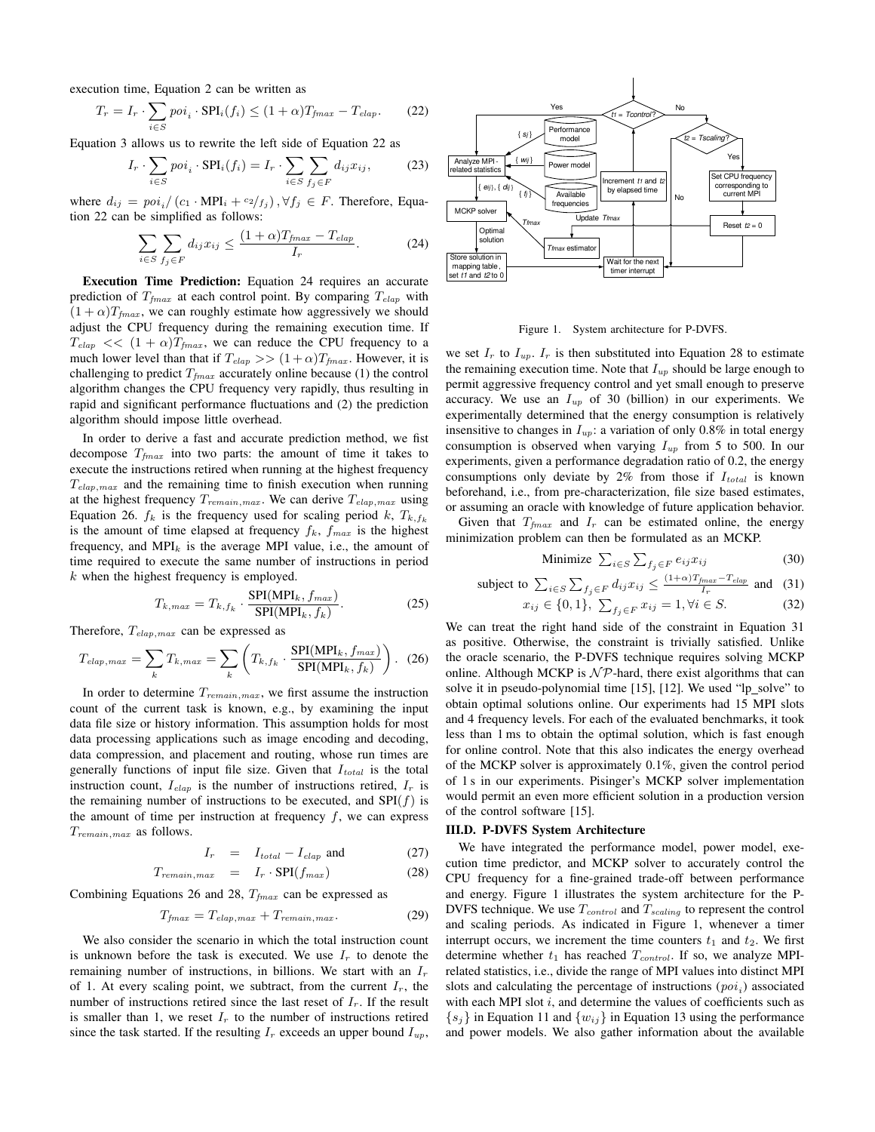execution time, Equation 2 can be written as

$$
T_r = I_r \cdot \sum_{i \in S} \text{poi}_i \cdot \text{SPI}_i(f_i) \le (1 + \alpha) T_{fmax} - T_{elap}.
$$
 (22)

Equation 3 allows us to rewrite the left side of Equation 22 as

$$
I_r \cdot \sum_{i \in S} \text{poi}_i \cdot \text{SPI}_i(f_i) = I_r \cdot \sum_{i \in S} \sum_{f_j \in F} d_{ij} x_{ij},\tag{23}
$$

where  $d_{ij} = \frac{p\delta}{i} / (c_1 \cdot \text{MPI}_i + \frac{c_2}{f_j})$ ,  $\forall f_j \in F$ . Therefore, Equation 22 can be simplified as follows:

$$
\sum_{i \in S} \sum_{f_j \in F} d_{ij} x_{ij} \le \frac{(1+\alpha)T_{fmax} - T_{elap}}{I_r}.
$$
 (24)

Execution Time Prediction: Equation 24 requires an accurate prediction of  $T_{fmax}$  at each control point. By comparing  $T_{elap}$  with  $(1 + \alpha)T_{fmax}$ , we can roughly estimate how aggressively we should adjust the CPU frequency during the remaining execution time. If  $T_{elap}$  <<  $(1 + \alpha)T_{fmax}$ , we can reduce the CPU frequency to a much lower level than that if  $T_{elap}$  >>  $(1+\alpha)T_{fmax}$ . However, it is challenging to predict  $T_{fmax}$  accurately online because (1) the control algorithm changes the CPU frequency very rapidly, thus resulting in rapid and significant performance fluctuations and (2) the prediction algorithm should impose little overhead.

In order to derive a fast and accurate prediction method, we fist decompose  $T_{fmax}$  into two parts: the amount of time it takes to execute the instructions retired when running at the highest frequency  $T_{elap,max}$  and the remaining time to finish execution when running at the highest frequency  $T_{remain,max}$ . We can derive  $T_{elap,max}$  using Equation 26.  $f_k$  is the frequency used for scaling period k,  $T_{k,f_k}$ is the amount of time elapsed at frequency  $f_k$ ,  $f_{max}$  is the highest frequency, and  $MPI_k$  is the average MPI value, i.e., the amount of time required to execute the same number of instructions in period  $k$  when the highest frequency is employed.

$$
T_{k,max} = T_{k,f_k} \cdot \frac{\text{SPI}(MPI_k, f_{max})}{\text{SPI}(MPI_k, f_k)}.
$$
 (25)

Therefore,  $T_{elap,max}$  can be expressed as

$$
T_{elap,max} = \sum_{k} T_{k,max} = \sum_{k} \left( T_{k,f_k} \cdot \frac{\text{SPI}(\text{MPI}_k, f_{max})}{\text{SPI}(\text{MPI}_k, f_k)} \right). (26)
$$

In order to determine  $T_{remain,max}$ , we first assume the instruction count of the current task is known, e.g., by examining the input data file size or history information. This assumption holds for most data processing applications such as image encoding and decoding, data compression, and placement and routing, whose run times are generally functions of input file size. Given that  $I_{total}$  is the total instruction count,  $I_{elap}$  is the number of instructions retired,  $I_r$  is the remaining number of instructions to be executed, and  $SPI(f)$  is the amount of time per instruction at frequency  $f$ , we can express  $T_{remain,max}$  as follows.

$$
I_r = I_{total} - I_{elap} \text{ and } (27)
$$

$$
T_{remain,max} = I_r \cdot \text{SPI}(f_{max}) \tag{28}
$$

Combining Equations 26 and 28,  $T_{fmax}$  can be expressed as

$$
T_{fmax} = T_{elap,max} + T_{remain,max}.\tag{29}
$$

We also consider the scenario in which the total instruction count is unknown before the task is executed. We use  $I_r$  to denote the remaining number of instructions, in billions. We start with an  $I_r$ of 1. At every scaling point, we subtract, from the current  $I_r$ , the number of instructions retired since the last reset of  $I_r$ . If the result is smaller than 1, we reset  $I_r$  to the number of instructions retired since the task started. If the resulting  $I_r$  exceeds an upper bound  $I_{up}$ ,



Figure 1. System architecture for P-DVFS.

we set  $I_r$  to  $I_{up}$ .  $I_r$  is then substituted into Equation 28 to estimate the remaining execution time. Note that  $I_{up}$  should be large enough to permit aggressive frequency control and yet small enough to preserve accuracy. We use an  $I_{up}$  of 30 (billion) in our experiments. We experimentally determined that the energy consumption is relatively insensitive to changes in  $I_{up}$ : a variation of only 0.8% in total energy consumption is observed when varying  $I_{up}$  from 5 to 500. In our experiments, given a performance degradation ratio of 0.2, the energy consumptions only deviate by  $2\%$  from those if  $I_{total}$  is known beforehand, i.e., from pre-characterization, file size based estimates, or assuming an oracle with knowledge of future application behavior.

Given that  $T_{fmax}$  and  $I_r$  can be estimated online, the energy minimization problem can then be formulated as an MCKP.

$$
\text{Minimize } \sum_{i \in S} \sum_{f_j \in F} e_{ij} x_{ij} \tag{30}
$$

subject to 
$$
\sum_{i \in S} \sum_{f_j \in F} d_{ij} x_{ij} \leq \frac{(1+\alpha)T_{fmax} - T_{elap}}{I_r}
$$
 and (31)

$$
j \in \{0, 1\}, \ \sum_{f_j \in F} x_{ij} = 1, \forall i \in S. \tag{32}
$$

We can treat the right hand side of the constraint in Equation 31 as positive. Otherwise, the constraint is trivially satisfied. Unlike the oracle scenario, the P-DVFS technique requires solving MCKP online. Although MCKP is  $\mathcal{NP}$ -hard, there exist algorithms that can solve it in pseudo-polynomial time [15], [12]. We used "lp\_solve" to obtain optimal solutions online. Our experiments had 15 MPI slots and 4 frequency levels. For each of the evaluated benchmarks, it took less than 1 ms to obtain the optimal solution, which is fast enough for online control. Note that this also indicates the energy overhead of the MCKP solver is approximately 0.1%, given the control period of 1 s in our experiments. Pisinger's MCKP solver implementation would permit an even more efficient solution in a production version of the control software [15].

# III.D. P-DVFS System Architecture

 $x_i$ 

We have integrated the performance model, power model, execution time predictor, and MCKP solver to accurately control the CPU frequency for a fine-grained trade-off between performance and energy. Figure 1 illustrates the system architecture for the P-DVFS technique. We use  $T_{control}$  and  $T_{scaling}$  to represent the control and scaling periods. As indicated in Figure 1, whenever a timer interrupt occurs, we increment the time counters  $t_1$  and  $t_2$ . We first determine whether  $t_1$  has reached  $T_{control}$ . If so, we analyze MPIrelated statistics, i.e., divide the range of MPI values into distinct MPI slots and calculating the percentage of instructions  $(poi<sub>i</sub>)$  associated with each MPI slot  $i$ , and determine the values of coefficients such as  $\{s_j\}$  in Equation 11 and  $\{w_{ij}\}\$ in Equation 13 using the performance and power models. We also gather information about the available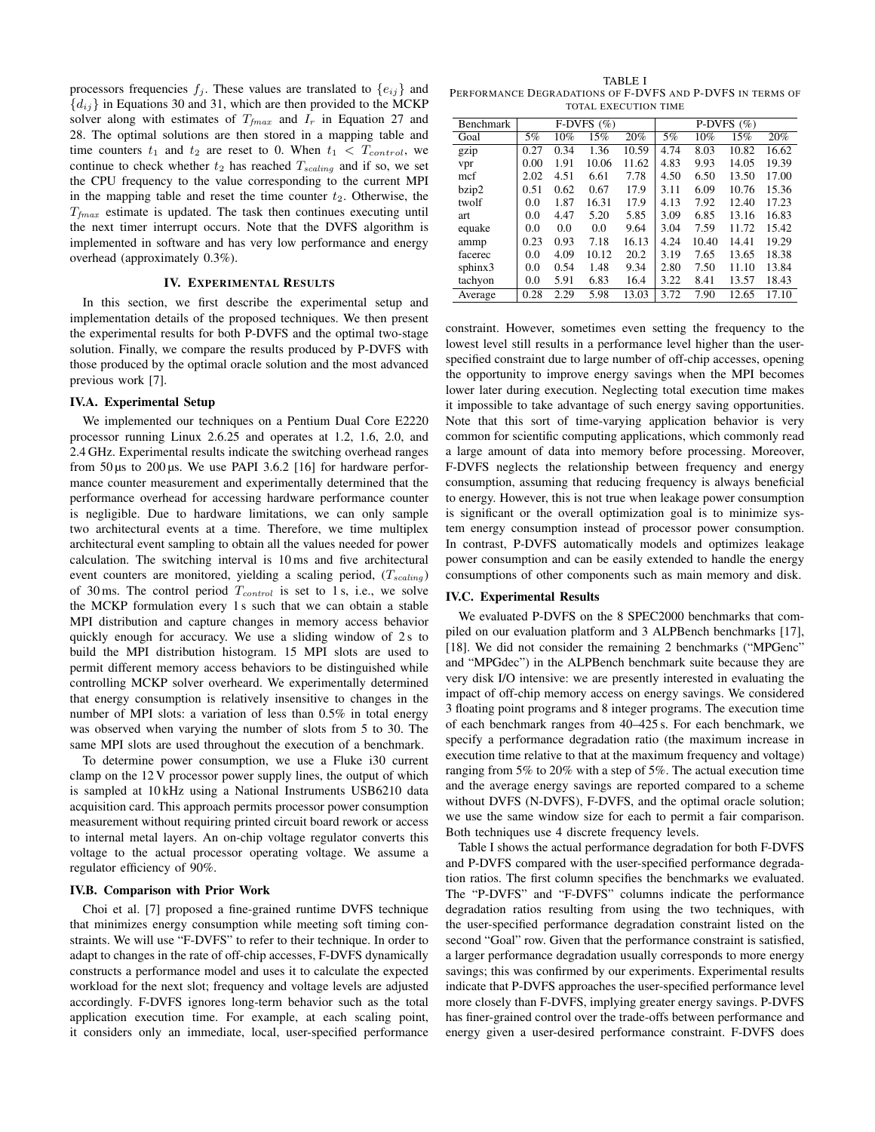processors frequencies  $f_j$ . These values are translated to  $\{e_{ij}\}\$ and  ${d_{ij}}$  in Equations 30 and 31, which are then provided to the MCKP solver along with estimates of  $T_{fmax}$  and  $I_r$  in Equation 27 and 28. The optimal solutions are then stored in a mapping table and time counters  $t_1$  and  $t_2$  are reset to 0. When  $t_1 < T_{control}$ , we continue to check whether  $t_2$  has reached  $T_{scaling}$  and if so, we set the CPU frequency to the value corresponding to the current MPI in the mapping table and reset the time counter  $t_2$ . Otherwise, the  $T_{fmax}$  estimate is updated. The task then continues executing until the next timer interrupt occurs. Note that the DVFS algorithm is implemented in software and has very low performance and energy overhead (approximately 0.3%).

# IV. EXPERIMENTAL RESULTS

In this section, we first describe the experimental setup and implementation details of the proposed techniques. We then present the experimental results for both P-DVFS and the optimal two-stage solution. Finally, we compare the results produced by P-DVFS with those produced by the optimal oracle solution and the most advanced previous work [7].

# IV.A. Experimental Setup

We implemented our techniques on a Pentium Dual Core E2220 processor running Linux 2.6.25 and operates at 1.2, 1.6, 2.0, and 2.4 GHz. Experimental results indicate the switching overhead ranges from 50  $\mu$ s to 200  $\mu$ s. We use PAPI 3.6.2 [16] for hardware performance counter measurement and experimentally determined that the performance overhead for accessing hardware performance counter is negligible. Due to hardware limitations, we can only sample two architectural events at a time. Therefore, we time multiplex architectural event sampling to obtain all the values needed for power calculation. The switching interval is 10 ms and five architectural event counters are monitored, yielding a scaling period,  $(T_{scaling})$ of 30 ms. The control period  $T_{control}$  is set to 1 s, i.e., we solve the MCKP formulation every 1 s such that we can obtain a stable MPI distribution and capture changes in memory access behavior quickly enough for accuracy. We use a sliding window of 2s to build the MPI distribution histogram. 15 MPI slots are used to permit different memory access behaviors to be distinguished while controlling MCKP solver overheard. We experimentally determined that energy consumption is relatively insensitive to changes in the number of MPI slots: a variation of less than 0.5% in total energy was observed when varying the number of slots from 5 to 30. The same MPI slots are used throughout the execution of a benchmark.

To determine power consumption, we use a Fluke i30 current clamp on the 12 V processor power supply lines, the output of which is sampled at 10 kHz using a National Instruments USB6210 data acquisition card. This approach permits processor power consumption measurement without requiring printed circuit board rework or access to internal metal layers. An on-chip voltage regulator converts this voltage to the actual processor operating voltage. We assume a regulator efficiency of 90%.

## IV.B. Comparison with Prior Work

Choi et al. [7] proposed a fine-grained runtime DVFS technique that minimizes energy consumption while meeting soft timing constraints. We will use "F-DVFS" to refer to their technique. In order to adapt to changes in the rate of off-chip accesses, F-DVFS dynamically constructs a performance model and uses it to calculate the expected workload for the next slot; frequency and voltage levels are adjusted accordingly. F-DVFS ignores long-term behavior such as the total application execution time. For example, at each scaling point, it considers only an immediate, local, user-specified performance

TABLE I PERFORMANCE DEGRADATIONS OF F-DVFS AND P-DVFS IN TERMS OF TOTAL EXECUTION TIME

| <b>Benchmark</b> | F-DVFS $(\% )$ |      |       |       | P-DVFS $(\%)$ |       |       |       |
|------------------|----------------|------|-------|-------|---------------|-------|-------|-------|
| Goal             | 5%             | 10%  | 15%   | 20%   | 5%            | 10%   | 15%   | 20%   |
| gzip             | 0.27           | 0.34 | 1.36  | 10.59 | 4.74          | 8.03  | 10.82 | 16.62 |
| vpr              | 0.00           | 1.91 | 10.06 | 11.62 | 4.83          | 9.93  | 14.05 | 19.39 |
| mcf              | 2.02           | 4.51 | 6.61  | 7.78  | 4.50          | 6.50  | 13.50 | 17.00 |
| bzip2            | 0.51           | 0.62 | 0.67  | 17.9  | 3.11          | 6.09  | 10.76 | 15.36 |
| twolf            | 0.0            | 1.87 | 16.31 | 17.9  | 4.13          | 7.92  | 12.40 | 17.23 |
| art              | 0.0            | 4.47 | 5.20  | 5.85  | 3.09          | 6.85  | 13.16 | 16.83 |
| equake           | 0.0            | 0.0  | 0.0   | 9.64  | 3.04          | 7.59  | 11.72 | 15.42 |
| ammp             | 0.23           | 0.93 | 7.18  | 16.13 | 4.24          | 10.40 | 14.41 | 19.29 |
| facerec          | 0.0            | 4.09 | 10.12 | 20.2  | 3.19          | 7.65  | 13.65 | 18.38 |
| sphinx3          | 0.0            | 0.54 | 1.48  | 9.34  | 2.80          | 7.50  | 11.10 | 13.84 |
| tachyon          | 0.0            | 5.91 | 6.83  | 16.4  | 3.22          | 8.41  | 13.57 | 18.43 |
| Average          | 0.28           | 2.29 | 5.98  | 13.03 | 3.72          | 7.90  | 12.65 | 17.10 |

constraint. However, sometimes even setting the frequency to the lowest level still results in a performance level higher than the userspecified constraint due to large number of off-chip accesses, opening the opportunity to improve energy savings when the MPI becomes lower later during execution. Neglecting total execution time makes it impossible to take advantage of such energy saving opportunities. Note that this sort of time-varying application behavior is very common for scientific computing applications, which commonly read a large amount of data into memory before processing. Moreover, F-DVFS neglects the relationship between frequency and energy consumption, assuming that reducing frequency is always beneficial to energy. However, this is not true when leakage power consumption is significant or the overall optimization goal is to minimize system energy consumption instead of processor power consumption. In contrast, P-DVFS automatically models and optimizes leakage power consumption and can be easily extended to handle the energy consumptions of other components such as main memory and disk.

# IV.C. Experimental Results

We evaluated P-DVFS on the 8 SPEC2000 benchmarks that compiled on our evaluation platform and 3 ALPBench benchmarks [17], [18]. We did not consider the remaining 2 benchmarks ("MPGenc" and "MPGdec") in the ALPBench benchmark suite because they are very disk I/O intensive: we are presently interested in evaluating the impact of off-chip memory access on energy savings. We considered 3 floating point programs and 8 integer programs. The execution time of each benchmark ranges from 40–425 s. For each benchmark, we specify a performance degradation ratio (the maximum increase in execution time relative to that at the maximum frequency and voltage) ranging from 5% to 20% with a step of 5%. The actual execution time and the average energy savings are reported compared to a scheme without DVFS (N-DVFS), F-DVFS, and the optimal oracle solution; we use the same window size for each to permit a fair comparison. Both techniques use 4 discrete frequency levels.

Table I shows the actual performance degradation for both F-DVFS and P-DVFS compared with the user-specified performance degradation ratios. The first column specifies the benchmarks we evaluated. The "P-DVFS" and "F-DVFS" columns indicate the performance degradation ratios resulting from using the two techniques, with the user-specified performance degradation constraint listed on the second "Goal" row. Given that the performance constraint is satisfied, a larger performance degradation usually corresponds to more energy savings; this was confirmed by our experiments. Experimental results indicate that P-DVFS approaches the user-specified performance level more closely than F-DVFS, implying greater energy savings. P-DVFS has finer-grained control over the trade-offs between performance and energy given a user-desired performance constraint. F-DVFS does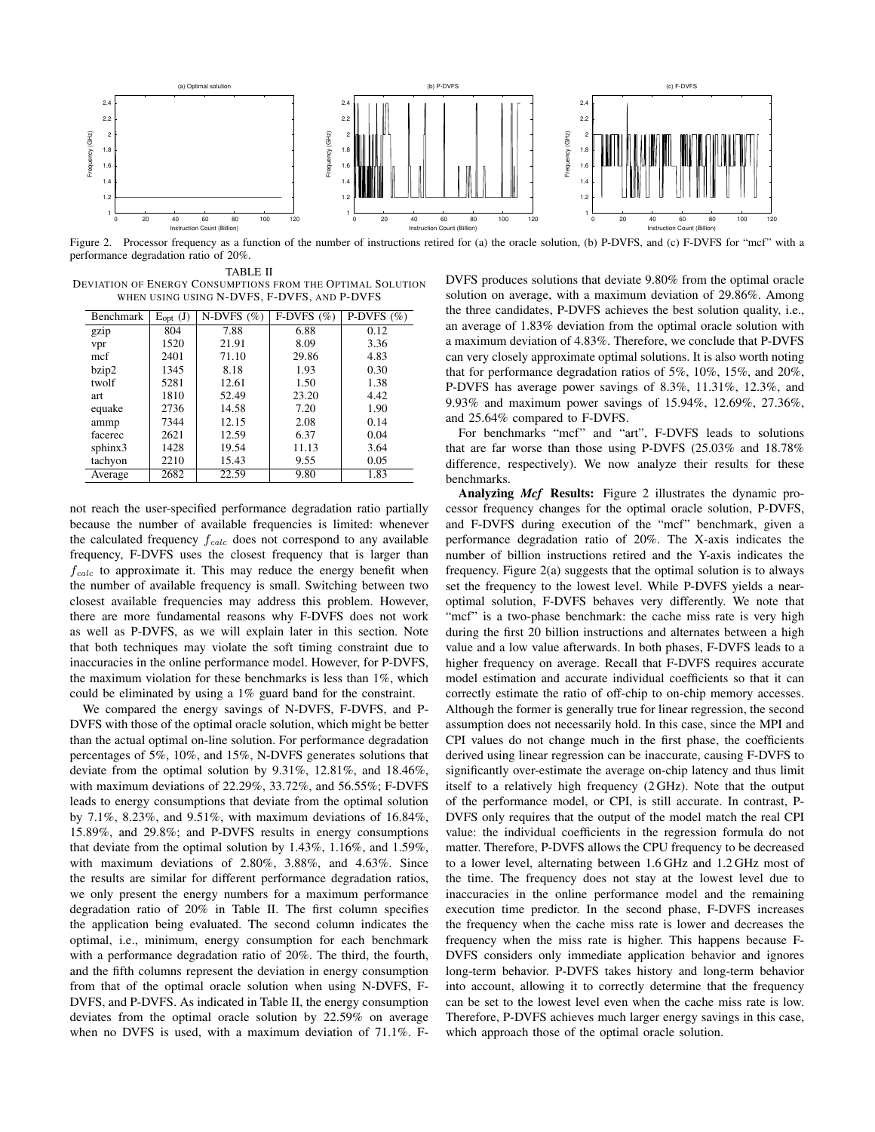

Figure 2. Processor frequency as a function of the number of instructions retired for (a) the oracle solution, (b) P-DVFS, and (c) F-DVFS for "mcf" with a performance degradation ratio of 20%.

TABLE II DEVIATION OF ENERGY CONSUMPTIONS FROM THE OPTIMAL SOLUTION WHEN USING USING N-DVFS, F-DVFS, AND P-DVFS

| Benchmark | $E_{opt}$ (J) | N-DVFS $(\%)$ | F-DVFS $(\% )$ | P-DVFS $(\% )$ |
|-----------|---------------|---------------|----------------|----------------|
| gzip      | 804           | 7.88          | 6.88           | 0.12           |
| vpr       | 1520          | 21.91         | 8.09           | 3.36           |
| mcf       | 2401          | 71.10         | 29.86          | 4.83           |
| bzip2     | 1345          | 8.18          | 1.93           | 0.30           |
| twolf     | 5281          | 12.61         | 1.50           | 1.38           |
| art       | 1810          | 52.49         | 23.20          | 4.42           |
| equake    | 2736          | 14.58         | 7.20           | 1.90           |
| ammp      | 7344          | 12.15         | 2.08           | 0.14           |
| facerec   | 2621          | 12.59         | 6.37           | 0.04           |
| sphinx3   | 1428          | 19.54         | 11.13          | 3.64           |
| tachyon   | 2210          | 15.43         | 9.55           | 0.05           |
| Average   | 2682          | 22.59         | 9.80           | 1.83           |

not reach the user-specified performance degradation ratio partially because the number of available frequencies is limited: whenever the calculated frequency  $f_{calc}$  does not correspond to any available frequency, F-DVFS uses the closest frequency that is larger than  $f_{calc}$  to approximate it. This may reduce the energy benefit when the number of available frequency is small. Switching between two closest available frequencies may address this problem. However, there are more fundamental reasons why F-DVFS does not work as well as P-DVFS, as we will explain later in this section. Note that both techniques may violate the soft timing constraint due to inaccuracies in the online performance model. However, for P-DVFS, the maximum violation for these benchmarks is less than 1%, which could be eliminated by using a 1% guard band for the constraint.

We compared the energy savings of N-DVFS, F-DVFS, and P-DVFS with those of the optimal oracle solution, which might be better than the actual optimal on-line solution. For performance degradation percentages of 5%, 10%, and 15%, N-DVFS generates solutions that deviate from the optimal solution by 9.31%, 12.81%, and 18.46%, with maximum deviations of 22.29%, 33.72%, and 56.55%; F-DVFS leads to energy consumptions that deviate from the optimal solution by 7.1%, 8.23%, and 9.51%, with maximum deviations of 16.84%, 15.89%, and 29.8%; and P-DVFS results in energy consumptions that deviate from the optimal solution by 1.43%, 1.16%, and 1.59%, with maximum deviations of 2.80%, 3.88%, and 4.63%. Since the results are similar for different performance degradation ratios, we only present the energy numbers for a maximum performance degradation ratio of 20% in Table II. The first column specifies the application being evaluated. The second column indicates the optimal, i.e., minimum, energy consumption for each benchmark with a performance degradation ratio of 20%. The third, the fourth, and the fifth columns represent the deviation in energy consumption from that of the optimal oracle solution when using N-DVFS, F-DVFS, and P-DVFS. As indicated in Table II, the energy consumption deviates from the optimal oracle solution by 22.59% on average when no DVFS is used, with a maximum deviation of 71.1%. F-

DVFS produces solutions that deviate 9.80% from the optimal oracle solution on average, with a maximum deviation of 29.86%. Among the three candidates, P-DVFS achieves the best solution quality, i.e., an average of 1.83% deviation from the optimal oracle solution with a maximum deviation of 4.83%. Therefore, we conclude that P-DVFS can very closely approximate optimal solutions. It is also worth noting that for performance degradation ratios of 5%, 10%, 15%, and 20%, P-DVFS has average power savings of 8.3%, 11.31%, 12.3%, and 9.93% and maximum power savings of 15.94%, 12.69%, 27.36%, and 25.64% compared to F-DVFS.

For benchmarks "mcf" and "art", F-DVFS leads to solutions that are far worse than those using P-DVFS (25.03% and 18.78% difference, respectively). We now analyze their results for these benchmarks.

Analyzing *Mcf* Results: Figure 2 illustrates the dynamic processor frequency changes for the optimal oracle solution, P-DVFS, and F-DVFS during execution of the "mcf" benchmark, given a performance degradation ratio of 20%. The X-axis indicates the number of billion instructions retired and the Y-axis indicates the frequency. Figure 2(a) suggests that the optimal solution is to always set the frequency to the lowest level. While P-DVFS yields a nearoptimal solution, F-DVFS behaves very differently. We note that "mcf" is a two-phase benchmark: the cache miss rate is very high during the first 20 billion instructions and alternates between a high value and a low value afterwards. In both phases, F-DVFS leads to a higher frequency on average. Recall that F-DVFS requires accurate model estimation and accurate individual coefficients so that it can correctly estimate the ratio of off-chip to on-chip memory accesses. Although the former is generally true for linear regression, the second assumption does not necessarily hold. In this case, since the MPI and CPI values do not change much in the first phase, the coefficients derived using linear regression can be inaccurate, causing F-DVFS to significantly over-estimate the average on-chip latency and thus limit itself to a relatively high frequency (2 GHz). Note that the output of the performance model, or CPI, is still accurate. In contrast, P-DVFS only requires that the output of the model match the real CPI value: the individual coefficients in the regression formula do not matter. Therefore, P-DVFS allows the CPU frequency to be decreased to a lower level, alternating between 1.6 GHz and 1.2 GHz most of the time. The frequency does not stay at the lowest level due to inaccuracies in the online performance model and the remaining execution time predictor. In the second phase, F-DVFS increases the frequency when the cache miss rate is lower and decreases the frequency when the miss rate is higher. This happens because F-DVFS considers only immediate application behavior and ignores long-term behavior. P-DVFS takes history and long-term behavior into account, allowing it to correctly determine that the frequency can be set to the lowest level even when the cache miss rate is low. Therefore, P-DVFS achieves much larger energy savings in this case, which approach those of the optimal oracle solution.